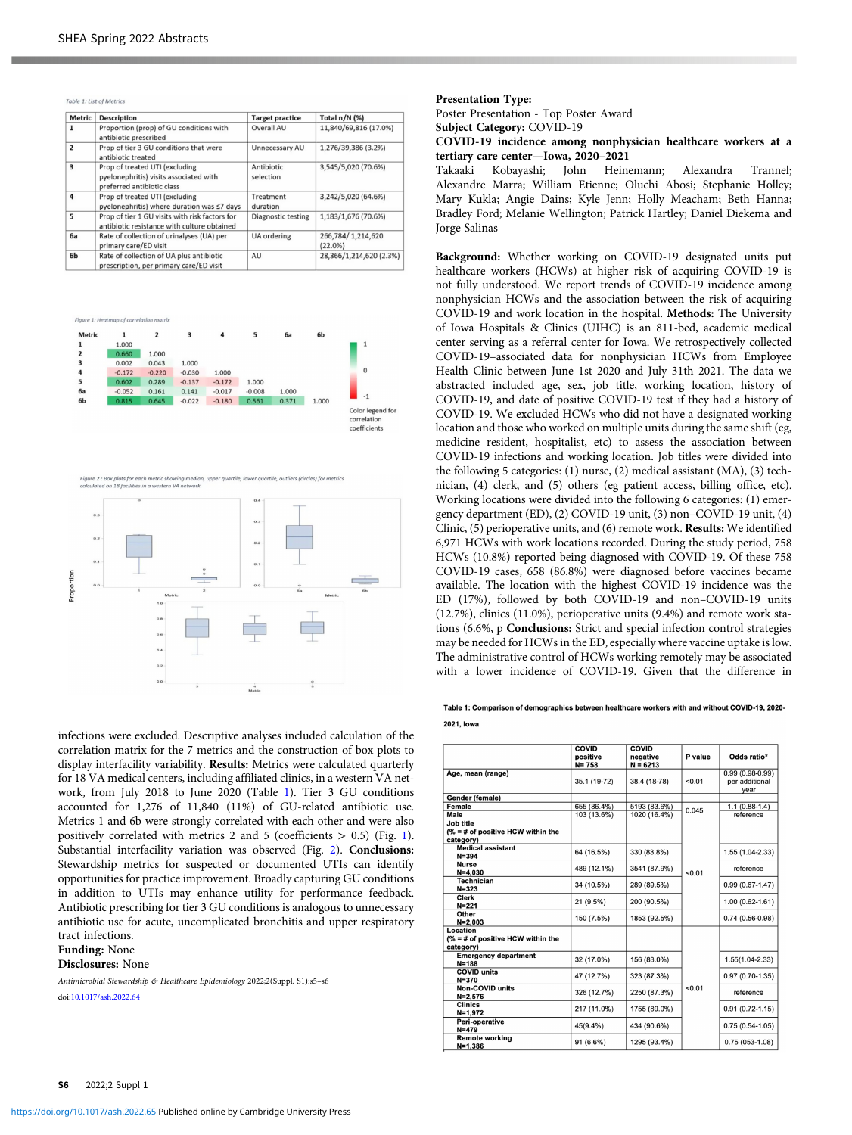Table 1: List of Metrics

| <b>Metric</b>  | <b>Description</b>                                                                                     | <b>Target practice</b>  | Total n/N (%)                |
|----------------|--------------------------------------------------------------------------------------------------------|-------------------------|------------------------------|
| 1              | Proportion (prop) of GU conditions with<br>antibiotic prescribed                                       | Overall AU              | 11,840/69,816 (17.0%)        |
| $\overline{2}$ | Prop of tier 3 GU conditions that were<br>antibiotic treated                                           | Unnecessary AU          | 1,276/39,386 (3.2%)          |
| 3              | Prop of treated UTI (excluding<br>pyelonephritis) visits associated with<br>preferred antibiotic class | Antibiotic<br>selection | 3,545/5,020 (70.6%)          |
| 4              | Prop of treated UTI (excluding<br>pyelonephritis) where duration was ≤7 days                           | Treatment<br>duration   | 3,242/5,020 (64.6%)          |
| 5              | Prop of tier 1 GU visits with risk factors for<br>antibiotic resistance with culture obtained          | Diagnostic testing      | 1,183/1,676 (70.6%)          |
| 6а             | Rate of collection of urinalyses (UA) per<br>primary care/ED visit                                     | <b>UA</b> ordering      | 266,784/1,214,620<br>(22.0%) |
| 6b             | Rate of collection of UA plus antibiotic<br>prescription, per primary care/ED visit                    | AU                      | 28,366/1,214,620 (2.3%)      |

Eigure 1: Her  $\omega$ 



tiers (circles) for metric  $00186$ 



infections were excluded. Descriptive analyses included calculation of the correlation matrix for the 7 metrics and the construction of box plots to display interfacility variability. Results: Metrics were calculated quarterly for 18 VA medical centers, including affiliated clinics, in a western VA network, from July 2018 to June 2020 (Table 1). Tier 3 GU conditions accounted for 1,276 of 11,840 (11%) of GU-related antibiotic use. Metrics 1 and 6b were strongly correlated with each other and were also positively correlated with metrics 2 and 5 (coefficients > 0.5) (Fig. 1). Substantial interfacility variation was observed (Fig. 2). Conclusions: Stewardship metrics for suspected or documented UTIs can identify opportunities for practice improvement. Broadly capturing GU conditions in addition to UTIs may enhance utility for performance feedback. Antibiotic prescribing for tier 3 GU conditions is analogous to unnecessary antibiotic use for acute, uncomplicated bronchitis and upper respiratory tract infections.

# Funding: None

Disclosures: None

Antimicrobial Stewardship & Healthcare Epidemiology 2022;2(Suppl. S1):s5–s6

doi[:10.1017/ash.2022.64](https://doi.org/10.1017/ash.2022.64)

## Presentation Type:

Poster Presentation - Top Poster Award Subject Category: COVID-19

## COVID-19 incidence among nonphysician healthcare workers at a tertiary care center—Iowa, 2020–2021

Takaaki Kobayashi; John Heinemann; Alexandra Trannel; Alexandre Marra; William Etienne; Oluchi Abosi; Stephanie Holley; Mary Kukla; Angie Dains; Kyle Jenn; Holly Meacham; Beth Hanna; Bradley Ford; Melanie Wellington; Patrick Hartley; Daniel Diekema and Jorge Salinas

Background: Whether working on COVID-19 designated units put healthcare workers (HCWs) at higher risk of acquiring COVID-19 is not fully understood. We report trends of COVID-19 incidence among nonphysician HCWs and the association between the risk of acquiring COVID-19 and work location in the hospital. Methods: The University of Iowa Hospitals & Clinics (UIHC) is an 811-bed, academic medical center serving as a referral center for Iowa. We retrospectively collected COVID-19–associated data for nonphysician HCWs from Employee Health Clinic between June 1st 2020 and July 31th 2021. The data we abstracted included age, sex, job title, working location, history of COVID-19, and date of positive COVID-19 test if they had a history of COVID-19. We excluded HCWs who did not have a designated working location and those who worked on multiple units during the same shift (eg, medicine resident, hospitalist, etc) to assess the association between COVID-19 infections and working location. Job titles were divided into the following 5 categories: (1) nurse, (2) medical assistant (MA), (3) technician, (4) clerk, and (5) others (eg patient access, billing office, etc). Working locations were divided into the following 6 categories: (1) emergency department (ED), (2) COVID-19 unit, (3) non–COVID-19 unit, (4) Clinic, (5) perioperative units, and (6) remote work. Results: We identified 6,971 HCWs with work locations recorded. During the study period, 758 HCWs (10.8%) reported being diagnosed with COVID-19. Of these 758 COVID-19 cases, 658 (86.8%) were diagnosed before vaccines became available. The location with the highest COVID-19 incidence was the ED (17%), followed by both COVID-19 and non–COVID-19 units (12.7%), clinics (11.0%), perioperative units (9.4%) and remote work stations (6.6%, p Conclusions: Strict and special infection control strategies may be needed for HCWs in the ED, especially where vaccine uptake is low. The administrative control of HCWs working remotely may be associated with a lower incidence of COVID-19. Given that the difference in

Table 1: Comparison of demographics between healthcare workers with and without COVID-19, 2020 2021, lowa

|                                              | COVID        | COVID        |         |                     |
|----------------------------------------------|--------------|--------------|---------|---------------------|
|                                              | positive     | negative     | P value | Odds ratio*         |
|                                              | $N = 758$    | $N = 6213$   |         |                     |
| Age, mean (range)                            | 35.1 (19-72) | 38.4 (18-78) | < 0.01  | $0.99(0.98-0.99)$   |
|                                              |              |              |         | per additional      |
| Gender (female)                              |              |              |         | vear                |
| Female                                       | 655 (86.4%)  | 5193 (83.6%) | 0.045   | $1.1(0.88-1.4)$     |
| Male                                         | 103 (13.6%)  | 1020 (16.4%) |         | reference           |
| Job title                                    |              |              |         |                     |
| $\frac{1}{6}$ = # of positive HCW within the |              |              |         |                     |
| category)                                    |              |              |         |                     |
| <b>Medical assistant</b>                     | 64 (16.5%)   | 330 (83.8%)  |         | 1.55 (1.04-2.33)    |
| $N = 394$                                    |              |              |         |                     |
| <b>Nurse</b>                                 | 489 (12.1%)  | 3541 (87.9%) | < 0.01  | reference           |
| $N=4,030$                                    |              |              |         |                     |
| <b>Technician</b>                            | 34 (10.5%)   | 289 (89.5%)  |         | $0.99(0.67 - 1.47)$ |
| $N = 323$<br><b>Clerk</b>                    |              |              |         |                     |
| $N = 221$                                    | 21 (9.5%)    | 200 (90.5%)  |         | 1.00 (0.62-1.61)    |
| Other                                        |              |              |         |                     |
| $N = 2.003$                                  | 150 (7.5%)   | 1853 (92.5%) |         | $0.74(0.56-0.98)$   |
| Location                                     |              |              |         |                     |
| $\frac{1}{6}$ = # of positive HCW within the |              |              |         |                     |
| category)                                    |              |              |         |                     |
| <b>Emergency department</b>                  | 32 (17.0%)   | 156 (83.0%)  |         | $1.55(1.04 - 2.33)$ |
| $N = 188$                                    |              |              |         |                     |
| <b>COVID units</b>                           | 47 (12.7%)   | 323 (87.3%)  |         | $0.97(0.70-1.35)$   |
| $N = 370$<br><b>Non-COVID units</b>          |              |              |         |                     |
| $N = 2.576$                                  | 326 (12.7%)  | 2250 (87.3%) | < 0.01  | reference           |
| <b>Clinics</b>                               |              |              |         |                     |
| $N = 1.972$                                  | 217 (11.0%)  | 1755 (89.0%) |         | $0.91(0.72 - 1.15)$ |
| Peri-operative                               | 45(9.4%)     | 434 (90.6%)  |         | $0.75(0.54-1.05)$   |
| $N = 479$                                    |              |              |         |                     |
| <b>Remote working</b>                        | 91 (6.6%)    | 1295 (93.4%) |         | $0.75(053-1.08)$    |
| $N = 1.386$                                  |              |              |         |                     |